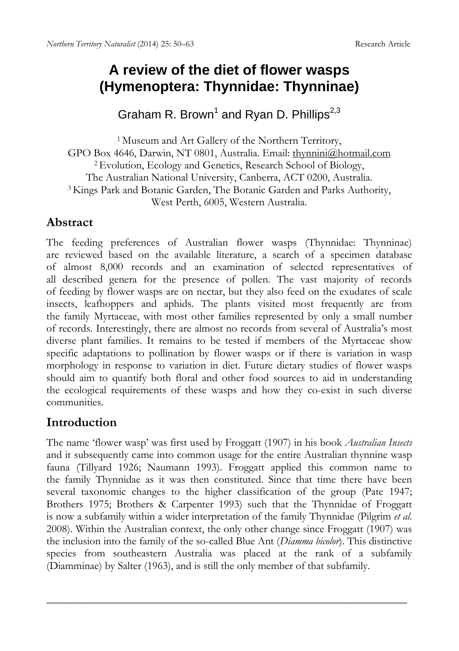# **A review of the diet of flower wasps (Hymenoptera: Thynnidae: Thynninae)**

Graham R. Brown<sup>1</sup> and Ryan D. Phillips<sup>2,3</sup>

1 Museum and Art Gallery of the Northern Territory, GPO Box 4646, Darwin, NT 0801, Australia. Email: thynnini@hotmail.com <sup>2</sup> Evolution, Ecology and Genetics, Research School of Biology, The Australian National University, Canberra, ACT 0200, Australia. 3 Kings Park and Botanic Garden, The Botanic Garden and Parks Authority, West Perth, 6005, Western Australia.

### **Abstract**

The feeding preferences of Australian flower wasps (Thynnidae: Thynninae) are reviewed based on the available literature, a search of a specimen database of almost 8,000 records and an examination of selected representatives of all described genera for the presence of pollen. The vast majority of records of feeding by flower wasps are on nectar, but they also feed on the exudates of scale insects, leafhoppers and aphids. The plants visited most frequently are from the family Myrtaceae, with most other families represented by only a small number of records. Interestingly, there are almost no records from several of Australia's most diverse plant families. It remains to be tested if members of the Myrtaceae show specific adaptations to pollination by flower wasps or if there is variation in wasp morphology in response to variation in diet. Future dietary studies of flower wasps should aim to quantify both floral and other food sources to aid in understanding the ecological requirements of these wasps and how they co-exist in such diverse communities.

# **Introduction**

The name 'flower wasp' was first used by Froggatt (1907) in his book *Australian Insects* and it subsequently came into common usage for the entire Australian thynnine wasp fauna (Tillyard 1926; Naumann 1993). Froggatt applied this common name to the family Thynnidae as it was then constituted. Since that time there have been several taxonomic changes to the higher classification of the group (Pate 1947; Brothers 1975; Brothers & Carpenter 1993) such that the Thynnidae of Froggatt is now a subfamily within a wider interpretation of the family Thynnidae (Pilgrim *et al*. 2008). Within the Australian context, the only other change since Froggatt (1907) was the inclusion into the family of the so-called Blue Ant (*Diamma bicolor*). This distinctive species from southeastern Australia was placed at the rank of a subfamily (Diamminae) by Salter (1963), and is still the only member of that subfamily.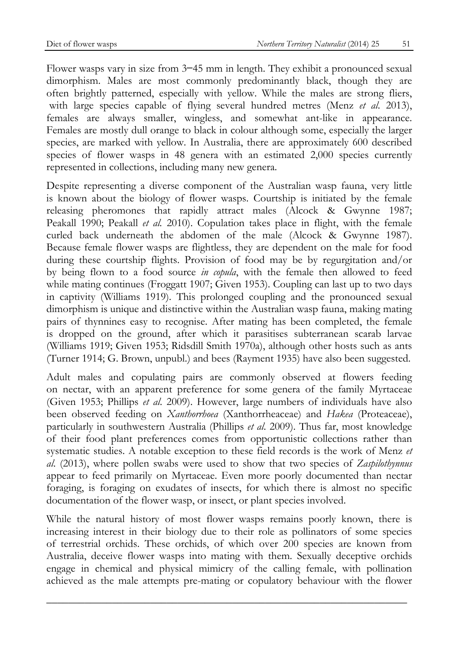Flower wasps vary in size from 3–45 mm in length. They exhibit a pronounced sexual dimorphism. Males are most commonly predominantly black, though they are often brightly patterned, especially with yellow. While the males are strong fliers, with large species capable of flying several hundred metres (Menz *et al*. 2013), females are always smaller, wingless, and somewhat ant-like in appearance. Females are mostly dull orange to black in colour although some, especially the larger species, are marked with yellow. In Australia, there are approximately 600 described species of flower wasps in 48 genera with an estimated 2,000 species currently represented in collections, including many new genera.

Despite representing a diverse component of the Australian wasp fauna, very little is known about the biology of flower wasps. Courtship is initiated by the female releasing pheromones that rapidly attract males (Alcock & Gwynne 1987; Peakall 1990; Peakall *et al.* 2010). Copulation takes place in flight, with the female curled back underneath the abdomen of the male (Alcock & Gwynne 1987). Because female flower wasps are flightless, they are dependent on the male for food during these courtship flights. Provision of food may be by regurgitation and/or by being flown to a food source *in copula*, with the female then allowed to feed while mating continues (Froggatt 1907; Given 1953). Coupling can last up to two days in captivity (Williams 1919). This prolonged coupling and the pronounced sexual dimorphism is unique and distinctive within the Australian wasp fauna, making mating pairs of thynnines easy to recognise. After mating has been completed, the female is dropped on the ground, after which it parasitises subterranean scarab larvae (Williams 1919; Given 1953; Ridsdill Smith 1970a), although other hosts such as ants (Turner 1914; G. Brown, unpubl.) and bees (Rayment 1935) have also been suggested.

Adult males and copulating pairs are commonly observed at flowers feeding on nectar, with an apparent preference for some genera of the family Myrtaceae (Given 1953; Phillips *et al*. 2009). However, large numbers of individuals have also been observed feeding on *Xanthorrhoea* (Xanthorrheaceae) and *Hakea* (Proteaceae), particularly in southwestern Australia (Phillips *et al*. 2009). Thus far, most knowledge of their food plant preferences comes from opportunistic collections rather than systematic studies. A notable exception to these field records is the work of Menz *et al*. (2013), where pollen swabs were used to show that two species of *Zaspilothynnus* appear to feed primarily on Myrtaceae. Even more poorly documented than nectar foraging, is foraging on exudates of insects, for which there is almost no specific documentation of the flower wasp, or insect, or plant species involved.

While the natural history of most flower wasps remains poorly known, there is increasing interest in their biology due to their role as pollinators of some species of terrestrial orchids. These orchids, of which over 200 species are known from Australia, deceive flower wasps into mating with them. Sexually deceptive orchids engage in chemical and physical mimicry of the calling female, with pollination achieved as the male attempts pre-mating or copulatory behaviour with the flower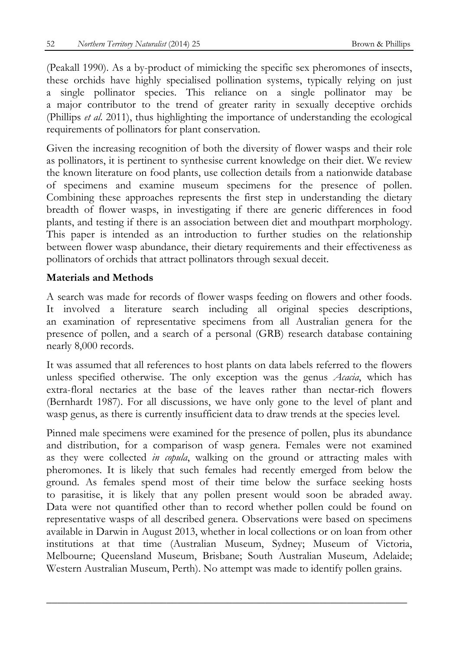(Peakall 1990). As a by-product of mimicking the specific sex pheromones of insects, these orchids have highly specialised pollination systems, typically relying on just a single pollinator species. This reliance on a single pollinator may be a major contributor to the trend of greater rarity in sexually deceptive orchids (Phillips *et al*. 2011), thus highlighting the importance of understanding the ecological requirements of pollinators for plant conservation.

Given the increasing recognition of both the diversity of flower wasps and their role as pollinators, it is pertinent to synthesise current knowledge on their diet. We review the known literature on food plants, use collection details from a nationwide database of specimens and examine museum specimens for the presence of pollen. Combining these approaches represents the first step in understanding the dietary breadth of flower wasps, in investigating if there are generic differences in food plants, and testing if there is an association between diet and mouthpart morphology. This paper is intended as an introduction to further studies on the relationship between flower wasp abundance, their dietary requirements and their effectiveness as pollinators of orchids that attract pollinators through sexual deceit.

#### **Materials and Methods**

A search was made for records of flower wasps feeding on flowers and other foods. It involved a literature search including all original species descriptions, an examination of representative specimens from all Australian genera for the presence of pollen, and a search of a personal (GRB) research database containing nearly 8,000 records.

It was assumed that all references to host plants on data labels referred to the flowers unless specified otherwise. The only exception was the genus *Acacia*, which has extra-floral nectaries at the base of the leaves rather than nectar-rich flowers (Bernhardt 1987). For all discussions, we have only gone to the level of plant and wasp genus, as there is currently insufficient data to draw trends at the species level.

Pinned male specimens were examined for the presence of pollen, plus its abundance and distribution, for a comparison of wasp genera. Females were not examined as they were collected *in copula*, walking on the ground or attracting males with pheromones. It is likely that such females had recently emerged from below the ground. As females spend most of their time below the surface seeking hosts to parasitise, it is likely that any pollen present would soon be abraded away. Data were not quantified other than to record whether pollen could be found on representative wasps of all described genera. Observations were based on specimens available in Darwin in August 2013, whether in local collections or on loan from other institutions at that time (Australian Museum, Sydney; Museum of Victoria, Melbourne; Queensland Museum, Brisbane; South Australian Museum, Adelaide; Western Australian Museum, Perth). No attempt was made to identify pollen grains.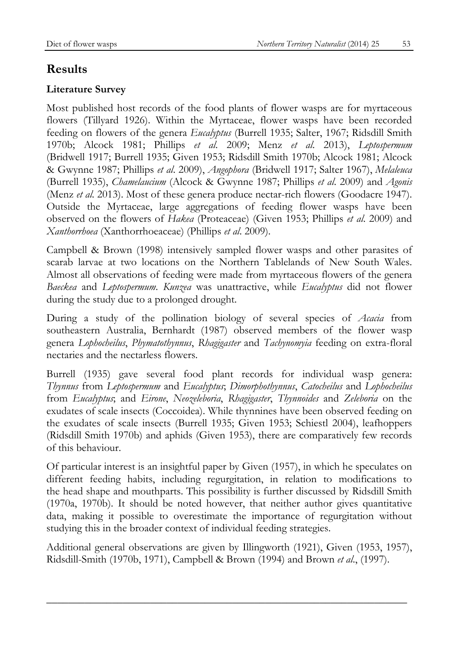# **Results**

### **Literature Survey**

Most published host records of the food plants of flower wasps are for myrtaceous flowers (Tillyard 1926). Within the Myrtaceae, flower wasps have been recorded feeding on flowers of the genera *Eucalyptus* (Burrell 1935; Salter, 1967; Ridsdill Smith 1970b; Alcock 1981; Phillips *et al*. 2009; Menz *et al*. 2013), *Leptospermum* (Bridwell 1917; Burrell 1935; Given 1953; Ridsdill Smith 1970b; Alcock 1981; Alcock & Gwynne 1987; Phillips *et al*. 2009), *Angophora* (Bridwell 1917; Salter 1967), *Melaleuca* (Burrell 1935), *Chamelaucium* (Alcock & Gwynne 1987; Phillips *et al*. 2009) and *Agonis* (Menz *et al*. 2013). Most of these genera produce nectar-rich flowers (Goodacre 1947). Outside the Myrtaceae, large aggregations of feeding flower wasps have been observed on the flowers of *Hakea* (Proteaceae) (Given 1953; Phillips *et al*. 2009) and *Xanthorrhoea* (Xanthorrhoeaceae) (Phillips *et al*. 2009).

Campbell & Brown (1998) intensively sampled flower wasps and other parasites of scarab larvae at two locations on the Northern Tablelands of New South Wales. Almost all observations of feeding were made from myrtaceous flowers of the genera *Baeckea* and *Leptospermum*. *Kunzea* was unattractive, while *Eucalyptus* did not flower during the study due to a prolonged drought.

During a study of the pollination biology of several species of *Acacia* from southeastern Australia, Bernhardt (1987) observed members of the flower wasp genera *Lophocheilus*, *Phymatothynnus*, *Rhagigaster* and *Tachynomyia* feeding on extra-floral nectaries and the nectarless flowers.

Burrell (1935) gave several food plant records for individual wasp genera: *Thynnus* from *Leptospermum* and *Eucalyptus*; *Dimorphothynnus*, *Catocheilus* and *Lophocheilus* from *Eucalyptus*; and *Eirone*, *Neozeleboria*, *Rhagigaster*, *Thynnoides* and *Zeleboria* on the exudates of scale insects (Coccoidea). While thynnines have been observed feeding on the exudates of scale insects (Burrell 1935; Given 1953; Schiestl 2004), leafhoppers (Ridsdill Smith 1970b) and aphids (Given 1953), there are comparatively few records of this behaviour.

Of particular interest is an insightful paper by Given (1957), in which he speculates on different feeding habits, including regurgitation, in relation to modifications to the head shape and mouthparts. This possibility is further discussed by Ridsdill Smith (1970a, 1970b). It should be noted however, that neither author gives quantitative data, making it possible to overestimate the importance of regurgitation without studying this in the broader context of individual feeding strategies.

Additional general observations are given by Illingworth (1921), Given (1953, 1957), Ridsdill-Smith (1970b, 1971), Campbell & Brown (1994) and Brown *et al*., (1997).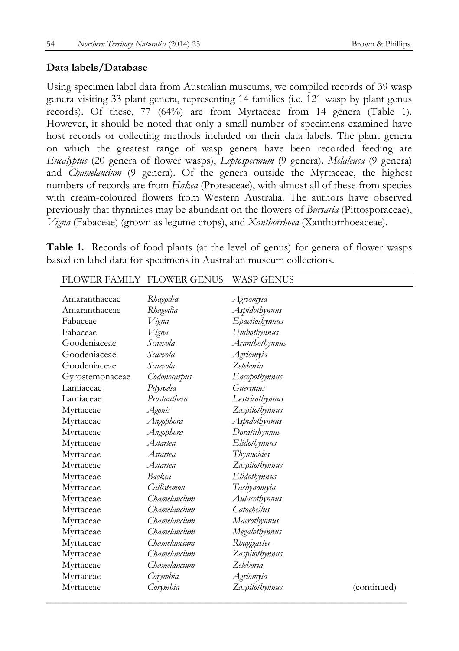#### **Data labels/Database**

Using specimen label data from Australian museums, we compiled records of 39 wasp genera visiting 33 plant genera, representing 14 families (i.e. 121 wasp by plant genus records). Of these, 77 (64%) are from Myrtaceae from 14 genera (Table 1). However, it should be noted that only a small number of specimens examined have host records or collecting methods included on their data labels. The plant genera on which the greatest range of wasp genera have been recorded feeding are *Eucalyptus* (20 genera of flower wasps), *Leptospermum* (9 genera)*, Melaleuca* (9 genera) and *Chamelaucium* (9 genera). Of the genera outside the Myrtaceae, the highest numbers of records are from *Hakea* (Proteaceae), with almost all of these from species with cream-coloured flowers from Western Australia. The authors have observed previously that thynnines may be abundant on the flowers of *Bursaria* (Pittosporaceae), *Vigna* (Fabaceae) (grown as legume crops), and *Xanthorrhoea* (Xanthorrhoeaceae).

**Table 1.** Records of food plants (at the level of genus) for genera of flower wasps based on label data for specimens in Australian museum collections.

| FLOWER FAMILY FLOWER GENUS |                 | <b>WASP GENUS</b> |             |
|----------------------------|-----------------|-------------------|-------------|
| Amaranthaceae              | Rhagodia        | Agriomyia         |             |
| Amaranthaceae              | Rhagodia        | Aspidothynnus     |             |
| Fabaceae                   | Vigna           | Epactiothynnus    |             |
| Fabaceae                   | Vigna           | Umbothynnus       |             |
| Goodeniaceae               | Scaevola        | Acanthothynnus    |             |
| Goodeniaceae               | Scaevola        | Agriomyia         |             |
| Goodeniaceae               | Scaevola        | Zeleboria         |             |
| Gyrostemonaceae            | Codonocarpus    | Encopothynnus     |             |
| Lamiaceae                  | Pityrodia       | Guerinius         |             |
| Lamiaceae                  | Prostanthera    | Lestricothynnus   |             |
| Myrtaceae                  | Agonis          | Zaspilothynnus    |             |
| Myrtaceae                  | Angophora       | Aspidothynnus     |             |
| Myrtaceae                  | Angophora       | Doratithynnus     |             |
| Myrtaceae                  | <i>Astartea</i> | Elidothynnus      |             |
| Myrtaceae                  | <i>Astartea</i> | Thynnoides        |             |
| Myrtaceae                  | Astartea        | Zaspilothynnus    |             |
| Myrtaceae                  | Baekea          | Elidothynnus      |             |
| Myrtaceae                  | Callistemon     | Tachynomyia       |             |
| Myrtaceae                  | Chamelaucium    | Aulacothynnus     |             |
| Myrtaceae                  | Chamelaucium    | Catocheilus       |             |
| Myrtaceae                  | Chamelaucium    | Macrothynnus      |             |
| Myrtaceae                  | Chamelaucium    | Megalothynnus     |             |
| Myrtaceae                  | Chamelaucium    | Rhagigaster       |             |
| Myrtaceae                  | Chamelaucium    | Zaspilothynnus    |             |
| Myrtaceae                  | Chamelaucium    | Zeleboria         |             |
| Myrtaceae                  | Corymbia        | Agriomyia         |             |
| Myrtaceae                  | Corymbia        | Zaspilothynnus    | (continued) |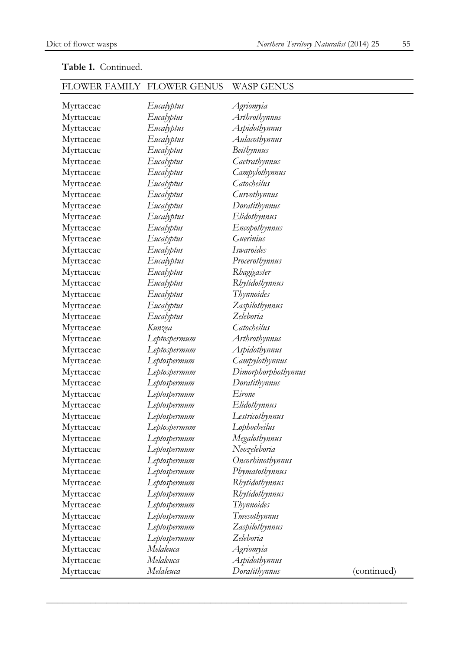| I 'LU WEIV I TIMIL I | T LU WEIX UEINUD | WADE VIETVUD        |             |
|----------------------|------------------|---------------------|-------------|
| Myrtaceae            | Eucalyptus       | Agriomyia           |             |
| Myrtaceae            | Eucalyptus       | Arthrothynnus       |             |
| Myrtaceae            | Eucalyptus       | Aspidothynnus       |             |
| Myrtaceae            | Eucalyptus       | Aulacothynnus       |             |
| Myrtaceae            | Eucalyptus       | <b>Beithynnus</b>   |             |
| Myrtaceae            | Eucalyptus       | Caetrathynnus       |             |
| Myrtaceae            | Eucalyptus       | Campylothynnus      |             |
| Myrtaceae            | Eucalyptus       | Catocheilus         |             |
| Myrtaceae            | Eucalyptus       | Curvothynnus        |             |
| Myrtaceae            | Eucalyptus       | Doratithynnus       |             |
| Myrtaceae            | Eucalyptus       | Elidothynnus        |             |
| Myrtaceae            | Eucalyptus       | Encopothynnus       |             |
| Myrtaceae            | Eucalyptus       | Guerinius           |             |
| Myrtaceae            | Eucalyptus       | Iswaroides          |             |
| Myrtaceae            | Eucalyptus       | Procerothynnus      |             |
| Myrtaceae            | Eucalyptus       | Rhagigaster         |             |
| Myrtaceae            | Eucalyptus       | Rhytidothynnus      |             |
| Myrtaceae            | Eucalyptus       | Thynnoides          |             |
| Myrtaceae            | Eucalyptus       | Zaspilothynnus      |             |
| Myrtaceae            | Eucalyptus       | Zeleboria           |             |
| Myrtaceae            | Kunzea           | Catocheilus         |             |
| Myrtaceae            | Leptospermum     | Arthrothynnus       |             |
| Myrtaceae            | Leptospermum     | Aspidothynnus       |             |
| Myrtaceae            | Leptospermum     | Campylothynnus      |             |
| Myrtaceae            | Leptospermum     | Dimorphorphothynnus |             |
| Myrtaceae            | Leptospermum     | Doratithynnus       |             |
| Myrtaceae            | Leptospermum     | Eirone              |             |
| Myrtaceae            | Leptospermum     | Elidothynnus        |             |
| Myrtaceae            | Leptospermum     | Lestricothynnus     |             |
| Myrtaceae            | Leptospermum     | Lophocheilus        |             |
| Myrtaceae            | Leptospermum     | Megalothynnus       |             |
| Myrtaceae            | Leptospermum     | Neozeleboria        |             |
| Myrtaceae            | Leptospermum     | Oncorbinothynnus    |             |
| Myrtaceae            | Leptospermum     | Phymatothynnus      |             |
| Myrtaceae            | Leptospermum     | Rhytidothynnus      |             |
| Myrtaceae            | Leptospermum     | Rhytidothynnus      |             |
| Myrtaceae            | Leptospermum     | Thynnoides          |             |
| Myrtaceae            | Leptospermum     | Tmesothynnus        |             |
| Myrtaceae            | Leptospermum     | Zaspilothynnus      |             |
| Myrtaceae            | Leptospermum     | Zeleboria           |             |
| Myrtaceae            | Melaleuca        | Agriomyia           |             |
| Myrtaceae            | Melaleuca        | Aspidothynnus       |             |
| Myrtaceae            | Melaleuca        | Doratithynnus       | (continued) |
|                      |                  |                     |             |

 $\overline{\phantom{a}}$  , and the contract of the contract of the contract of the contract of the contract of the contract of the contract of the contract of the contract of the contract of the contract of the contract of the contrac

#### **Table 1.** Continued.

# FLOWER FAMILY FLOWER GENUS WASP GENUS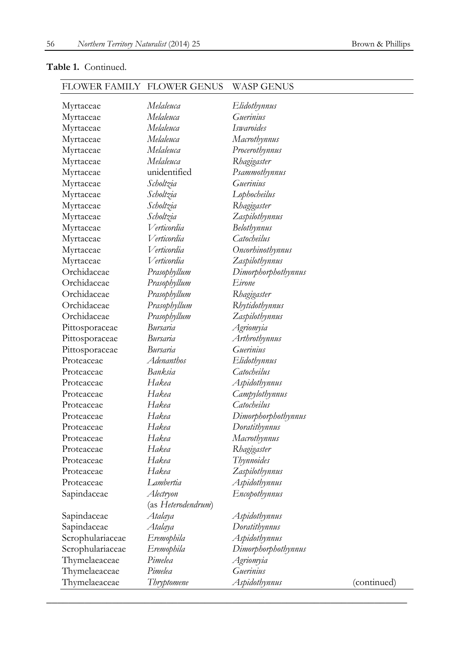#### **Table 1.** Continued.

### FLOWER FAMILY FLOWER GENUS WASP GENUS

|                  | Melaleuca          |                           |             |
|------------------|--------------------|---------------------------|-------------|
| Myrtaceae        | Melaleuca          | Elidothynnus<br>Guerinius |             |
| Myrtaceae        | Melaleuca          | Iswaroides                |             |
| Myrtaceae        |                    |                           |             |
| Myrtaceae        | Melaleuca          | Macrothynnus              |             |
| Myrtaceae        | Melaleuca          | Procerothynnus            |             |
| Myrtaceae        | Melaleuca          | Rhagigaster               |             |
| Myrtaceae        | unidentified       | Psammothynnus             |             |
| Myrtaceae        | Scholtzia          | Guerinius                 |             |
| Myrtaceae        | Scholtzia          | Lophocheilus              |             |
| Myrtaceae        | Scholtzia          | Rhagigaster               |             |
| Myrtaceae        | Scholtzia          | Zaspilothynnus            |             |
| Myrtaceae        | Verticordia        | <b>Belothynnus</b>        |             |
| Myrtaceae        | Verticordia        | Catocheilus               |             |
| Myrtaceae        | V erticordia       | Oncorhinothynnus          |             |
| Myrtaceae        | Verticordia        | Zaspilothynnus            |             |
| Orchidaceae      | Prasophyllum       | Dimorphorphothynnus       |             |
| Orchidaceae      | Prasophyllum       | Eirone                    |             |
| Orchidaceae      | Prasophyllum       | Rhagigaster               |             |
| Orchidaceae      | Prasophyllum       | Rhytidothynnus            |             |
| Orchidaceae      | Prasophyllum       | Zaspilothynnus            |             |
| Pittosporaceae   | Bursaria           | Agriomyia                 |             |
| Pittosporaceae   | Bursaria           | Arthrothynnus             |             |
| Pittosporaceae   | Bursaria           | Guerinius                 |             |
| Proteaceae       | Adenanthos         | Elidothynnus              |             |
| Proteaceae       | Banksia            | Catocheilus               |             |
| Proteaceae       | Hakea              | Aspidothynnus             |             |
| Proteaceae       | Hakea              | Campylothynnus            |             |
| Proteaceae       | Hakea              | Catocheilus               |             |
| Proteaceae       | Hakea              | Dimorphorphothynnus       |             |
| Proteaceae       | Hakea              | Doratithynnus             |             |
| Proteaceae       | Hakea              | Macrothynnus              |             |
| Proteaceae       | Hakea              | Rhagigaster               |             |
| Proteaceae       | Hakea              | Thynnoides                |             |
| Proteaceae       | Hakea              | Zaspilothynnus            |             |
| Proteaceae       | Lambertia          | Aspidothynnus             |             |
| Sapindaceae      | Alectryon          | Encopothynnus             |             |
|                  | (as Heterodendrum) |                           |             |
| Sapindaceae      | Atalaya            | Aspidothynnus             |             |
| Sapindaceae      | Atalaya            | Doratithynnus             |             |
| Scrophulariaceae | Eremophila         | Aspidothynnus             |             |
| Scrophulariaceae | Eremophila         | Dimorphorphothynnus       |             |
| Thymelaeaceae    | Pimelea            | Agriomyia                 |             |
| Thymelaeaceae    | Pimelea            | Guerinius                 |             |
|                  |                    |                           |             |
| Thymelaeaceae    | Thryptomene        | Aspidothynnus             | (continued) |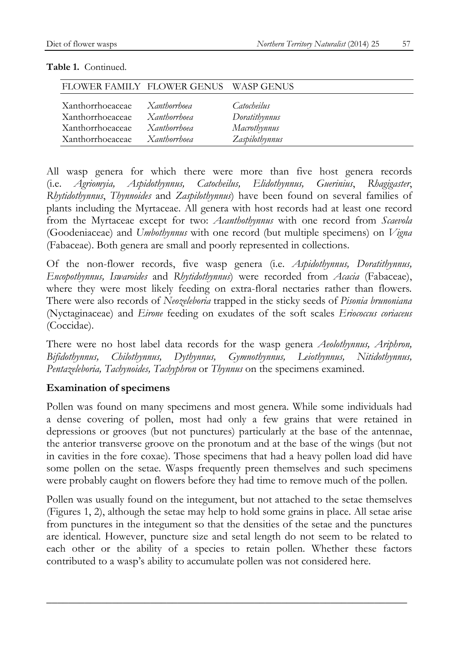| FLOWER FAMILY FLOWER GENUS WASP GENUS |                            |                |
|---------------------------------------|----------------------------|----------------|
| Xanthorrhoeaceae                      | Xanthorrhoea               | Catocheilus    |
| Xanthorrhoeaceae                      | <b>Xanthorrhoea</b>        | Doratithynnus  |
| Xanthorrhoeaceae                      | <b><i>Xanthorrhoea</i></b> | Macrothynnus   |
| Xanthorrhoeaceae                      | <b>Xanthorrhoea</b>        | Zaspilothynnus |

#### **Table 1.** Continued.

All wasp genera for which there were more than five host genera records (i.e. *Agriomyia, Aspidothynnus, Catocheilus, Elidothynnus, Guerinius*, *Rhagigaster*, *Rhytidothynnus*, *Thynnoides* and *Zaspilothynnus*) have been found on several families of plants including the Myrtaceae. All genera with host records had at least one record from the Myrtaceae except for two: *Acanthothynnus* with one record from *Scaevola* (Goodeniaceae) and *Umbothynnus* with one record (but multiple specimens) on *Vigna* (Fabaceae). Both genera are small and poorly represented in collections.

Of the non-flower records, five wasp genera (i.e. *Aspidothynnus, Doratithynnus, Encopothynnus, Iswaroides* and *Rhytidothynnus*) were recorded from *Acacia* (Fabaceae), where they were most likely feeding on extra-floral nectaries rather than flowers*.*  There were also records of *Neozeleboria* trapped in the sticky seeds of *Pisonia brunoniana* (Nyctaginaceae) and *Eirone* feeding on exudates of the soft scales *Eriococcus coriaceus* (Coccidae).

There were no host label data records for the wasp genera *Aeolothynnus, Ariphron, Bifidothynnus, Chilothynnus, Dythynnus, Gymnothynnus, Leiothynnus, Nitidothynnus, Pentazeleboria, Tachynoides, Tachyphron* or *Thynnus* on the specimens examined.

#### **Examination of specimens**

Pollen was found on many specimens and most genera. While some individuals had a dense covering of pollen, most had only a few grains that were retained in depressions or grooves (but not punctures) particularly at the base of the antennae, the anterior transverse groove on the pronotum and at the base of the wings (but not in cavities in the fore coxae). Those specimens that had a heavy pollen load did have some pollen on the setae. Wasps frequently preen themselves and such specimens were probably caught on flowers before they had time to remove much of the pollen.

Pollen was usually found on the integument, but not attached to the setae themselves (Figures 1, 2), although the setae may help to hold some grains in place. All setae arise from punctures in the integument so that the densities of the setae and the punctures are identical. However, puncture size and setal length do not seem to be related to each other or the ability of a species to retain pollen. Whether these factors contributed to a wasp's ability to accumulate pollen was not considered here.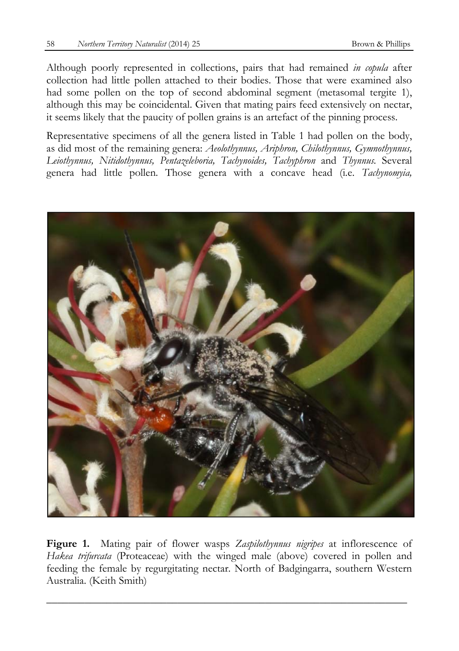Although poorly represented in collections, pairs that had remained *in copula* after collection had little pollen attached to their bodies. Those that were examined also had some pollen on the top of second abdominal segment (metasomal tergite 1), although this may be coincidental. Given that mating pairs feed extensively on nectar, it seems likely that the paucity of pollen grains is an artefact of the pinning process.

Representative specimens of all the genera listed in Table 1 had pollen on the body, as did most of the remaining genera: *Aeolothynnus, Ariphron, Chilothynnus, Gymnothynnus, Leiothynnus, Nitidothynnus, Pentazeleboria, Tachynoides, Tachyphron* and *Thynnus.* Several genera had little pollen. Those genera with a concave head (i.e. *Tachynomyia,*



**Figure 1.** Mating pair of flower wasps *Zaspilothynnus nigripes* at inflorescence of *Hakea trifurcata* (Proteaceae) with the winged male (above) covered in pollen and feeding the female by regurgitating nectar. North of Badgingarra, southern Western Australia. (Keith Smith)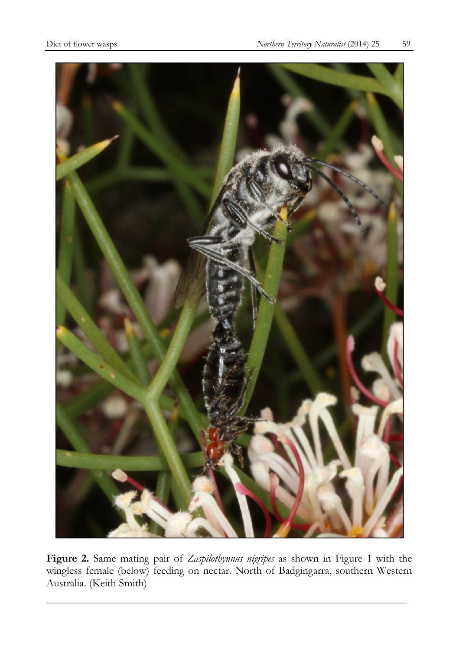

**Figure 2.** Same mating pair of *Zaspilothynnus nigripes* as shown in Figure 1 with the wingless female (below) feeding on nectar. North of Badgingarra, southern Western Australia. (Keith Smith)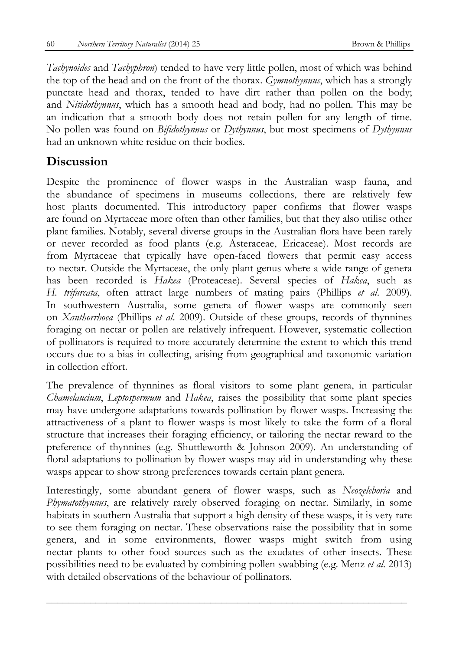*Tachynoides* and *Tachyphron*) tended to have very little pollen, most of which was behind the top of the head and on the front of the thorax. *Gymnothynnus*, which has a strongly punctate head and thorax, tended to have dirt rather than pollen on the body; and *Nitidothynnus*, which has a smooth head and body, had no pollen. This may be an indication that a smooth body does not retain pollen for any length of time. No pollen was found on *Bifidothynnus* or *Dythynnus*, but most specimens of *Dythynnus* had an unknown white residue on their bodies.

## **Discussion**

Despite the prominence of flower wasps in the Australian wasp fauna, and the abundance of specimens in museums collections, there are relatively few host plants documented. This introductory paper confirms that flower wasps are found on Myrtaceae more often than other families, but that they also utilise other plant families. Notably, several diverse groups in the Australian flora have been rarely or never recorded as food plants (e.g. Asteraceae, Ericaceae). Most records are from Myrtaceae that typically have open-faced flowers that permit easy access to nectar. Outside the Myrtaceae, the only plant genus where a wide range of genera has been recorded is *Hakea* (Proteaceae). Several species of *Hakea*, such as *H. trifurcata*, often attract large numbers of mating pairs (Phillips *et al*. 2009). In southwestern Australia, some genera of flower wasps are commonly seen on *Xanthorrhoea* (Phillips *et al*. 2009). Outside of these groups, records of thynnines foraging on nectar or pollen are relatively infrequent. However, systematic collection of pollinators is required to more accurately determine the extent to which this trend occurs due to a bias in collecting, arising from geographical and taxonomic variation in collection effort.

The prevalence of thynnines as floral visitors to some plant genera, in particular *Chamelaucium*, *Leptospermum* and *Hakea*, raises the possibility that some plant species may have undergone adaptations towards pollination by flower wasps. Increasing the attractiveness of a plant to flower wasps is most likely to take the form of a floral structure that increases their foraging efficiency, or tailoring the nectar reward to the preference of thynnines (e.g. Shuttleworth & Johnson 2009). An understanding of floral adaptations to pollination by flower wasps may aid in understanding why these wasps appear to show strong preferences towards certain plant genera.

Interestingly, some abundant genera of flower wasps, such as *Neozeleboria* and *Phymatothynnus*, are relatively rarely observed foraging on nectar. Similarly, in some habitats in southern Australia that support a high density of these wasps, it is very rare to see them foraging on nectar. These observations raise the possibility that in some genera, and in some environments, flower wasps might switch from using nectar plants to other food sources such as the exudates of other insects. These possibilities need to be evaluated by combining pollen swabbing (e.g. Menz *et al*. 2013) with detailed observations of the behaviour of pollinators.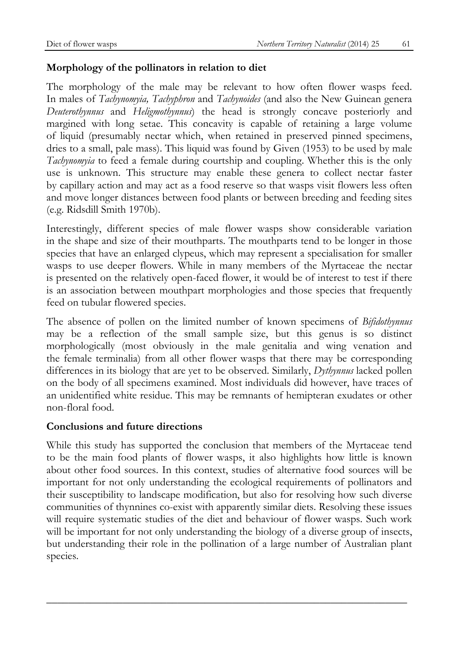#### **Morphology of the pollinators in relation to diet**

The morphology of the male may be relevant to how often flower wasps feed. In males of *Tachynomyia, Tachyphron* and *Tachynoides* (and also the New Guinean genera *Deuterothynnus* and *Heligmothynnus*) the head is strongly concave posteriorly and margined with long setae. This concavity is capable of retaining a large volume of liquid (presumably nectar which, when retained in preserved pinned specimens, dries to a small, pale mass). This liquid was found by Given (1953) to be used by male *Tachynomyia* to feed a female during courtship and coupling. Whether this is the only use is unknown. This structure may enable these genera to collect nectar faster by capillary action and may act as a food reserve so that wasps visit flowers less often and move longer distances between food plants or between breeding and feeding sites (e.g. Ridsdill Smith 1970b).

Interestingly, different species of male flower wasps show considerable variation in the shape and size of their mouthparts. The mouthparts tend to be longer in those species that have an enlarged clypeus, which may represent a specialisation for smaller wasps to use deeper flowers. While in many members of the Myrtaceae the nectar is presented on the relatively open-faced flower, it would be of interest to test if there is an association between mouthpart morphologies and those species that frequently feed on tubular flowered species.

The absence of pollen on the limited number of known specimens of *Bifidothynnus* may be a reflection of the small sample size, but this genus is so distinct morphologically (most obviously in the male genitalia and wing venation and the female terminalia) from all other flower wasps that there may be corresponding differences in its biology that are yet to be observed. Similarly, *Dythynnus* lacked pollen on the body of all specimens examined. Most individuals did however, have traces of an unidentified white residue. This may be remnants of hemipteran exudates or other non-floral food.

#### **Conclusions and future directions**

While this study has supported the conclusion that members of the Myrtaceae tend to be the main food plants of flower wasps, it also highlights how little is known about other food sources. In this context, studies of alternative food sources will be important for not only understanding the ecological requirements of pollinators and their susceptibility to landscape modification, but also for resolving how such diverse communities of thynnines co-exist with apparently similar diets. Resolving these issues will require systematic studies of the diet and behaviour of flower wasps. Such work will be important for not only understanding the biology of a diverse group of insects, but understanding their role in the pollination of a large number of Australian plant species.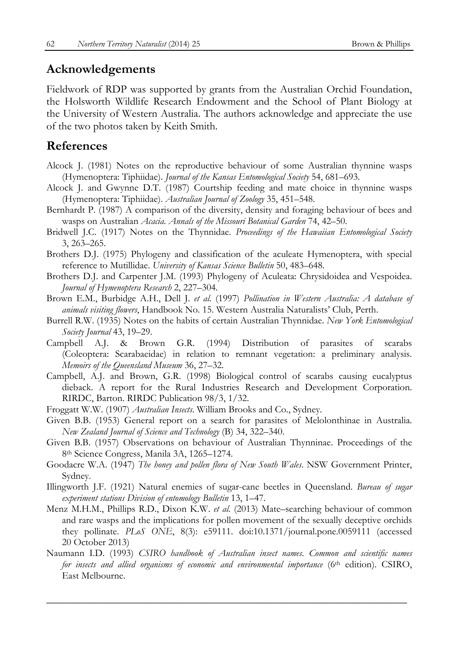### **Acknowledgements**

Fieldwork of RDP was supported by grants from the Australian Orchid Foundation, the Holsworth Wildlife Research Endowment and the School of Plant Biology at the University of Western Australia. The authors acknowledge and appreciate the use of the two photos taken by Keith Smith.

### **References**

- Alcock J. (1981) Notes on the reproductive behaviour of some Australian thynnine wasps (Hymenoptera: Tiphiidae). *Journal of the Kansas Entomological Society* 54, 681–693.
- Alcock J. and Gwynne D.T. (1987) Courtship feeding and mate choice in thynnine wasps (Hymenoptera: Tiphiidae). *Australian Journal of Zoology* 35, 451–548.
- Bernhardt P. (1987) A comparison of the diversity, density and foraging behaviour of bees and wasps on Australian *Acacia. Annals of the Missouri Botanical Garden* 74, 42–50.
- Bridwell J.C. (1917) Notes on the Thynnidae. *Proceedings of the Hawaiian Entomological Society* 3, 263–265.
- Brothers D.J. (1975) Phylogeny and classification of the aculeate Hymenoptera, with special reference to Mutillidae. *University of Kansas Science Bulletin* 50, 483–648.
- Brothers D.J. and Carpenter J.M. (1993) Phylogeny of Aculeata: Chrysidoidea and Vespoidea. *Journal of Hymenoptera Research* 2, 227–304.
- Brown E.M., Burbidge A.H., Dell J. *et al.* (1997) *Pollination in Western Australia: A database of animals visiting flowers*, Handbook No. 15. Western Australia Naturalists' Club, Perth.
- Burrell R.W. (1935) Notes on the habits of certain Australian Thynnidae. *New York Entomological Society Journal* 43, 19–29.
- Campbell A.J. & Brown G.R. (1994) Distribution of parasites of scarabs (Coleoptera: Scarabaeidae) in relation to remnant vegetation: a preliminary analysis. *Memoirs of the Queensland Museum* 36, 27–32.
- Campbell, A.J. and Brown, G.R. (1998) Biological control of scarabs causing eucalyptus dieback. A report for the Rural Industries Research and Development Corporation. RIRDC, Barton. RIRDC Publication 98/3, 1/32.
- Froggatt W.W. (1907) *Australian Insects*. William Brooks and Co., Sydney.
- Given B.B. (1953) General report on a search for parasites of Melolonthinae in Australia. *New Zealand Journal of Science and Technology* (B) 34, 322–340.
- Given B.B. (1957) Observations on behaviour of Australian Thynninae. Proceedings of the 8th Science Congress, Manila 3A, 1265–1274.
- Goodacre W.A. (1947) *The honey and pollen flora of New South Wales*. NSW Government Printer, Sydney.
- Illingworth J.F. (1921) Natural enemies of sugar-cane beetles in Queensland. *Bureau of sugar experiment stations Division of entomology Bulletin* 13, 1–47.
- Menz M.H.M., Phillips R.D., Dixon K.W. *et al.* (2013) Mate–searching behaviour of common and rare wasps and the implications for pollen movement of the sexually deceptive orchids they pollinate. *PLoS ONE*, 8(3): e59111. doi:10.1371/journal.pone.0059111 (accessed 20 October 2013)
- Naumann I.D. (1993) *CSIRO handbook of Australian insect names. Common and scientific names for insects and allied organisms of economic and environmental importance* (6th edition). CSIRO, East Melbourne.